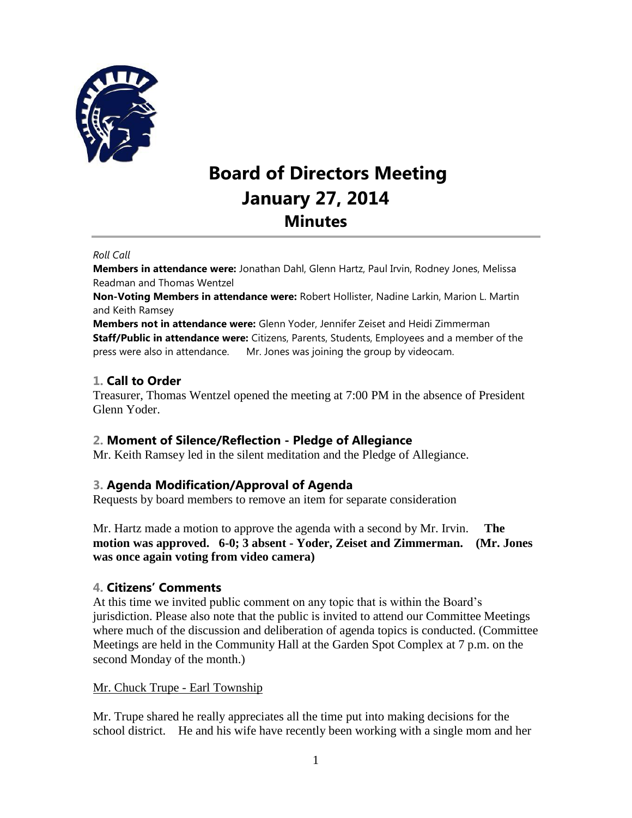

# **Board of Directors Meeting January 27, 2014 Minutes**

#### *Roll Call*

**Members in attendance were:** Jonathan Dahl, Glenn Hartz, Paul Irvin, Rodney Jones, Melissa Readman and Thomas Wentzel

**Non-Voting Members in attendance were:** Robert Hollister, Nadine Larkin, Marion L. Martin and Keith Ramsey

**Members not in attendance were:** Glenn Yoder, Jennifer Zeiset and Heidi Zimmerman **Staff/Public in attendance were:** Citizens, Parents, Students, Employees and a member of the press were also in attendance. Mr. Jones was joining the group by videocam.

#### **1. Call to Order**

Treasurer, Thomas Wentzel opened the meeting at 7:00 PM in the absence of President Glenn Yoder.

#### **2. Moment of Silence/Reflection - Pledge of Allegiance**

Mr. Keith Ramsey led in the silent meditation and the Pledge of Allegiance.

#### **3. Agenda Modification/Approval of Agenda**

Requests by board members to remove an item for separate consideration

Mr. Hartz made a motion to approve the agenda with a second by Mr. Irvin. **The motion was approved. 6-0; 3 absent - Yoder, Zeiset and Zimmerman. (Mr. Jones was once again voting from video camera)**

#### **4. Citizens' Comments**

At this time we invited public comment on any topic that is within the Board's jurisdiction. Please also note that the public is invited to attend our Committee Meetings where much of the discussion and deliberation of agenda topics is conducted. (Committee Meetings are held in the Community Hall at the Garden Spot Complex at 7 p.m. on the second Monday of the month.)

#### Mr. Chuck Trupe - Earl Township

Mr. Trupe shared he really appreciates all the time put into making decisions for the school district. He and his wife have recently been working with a single mom and her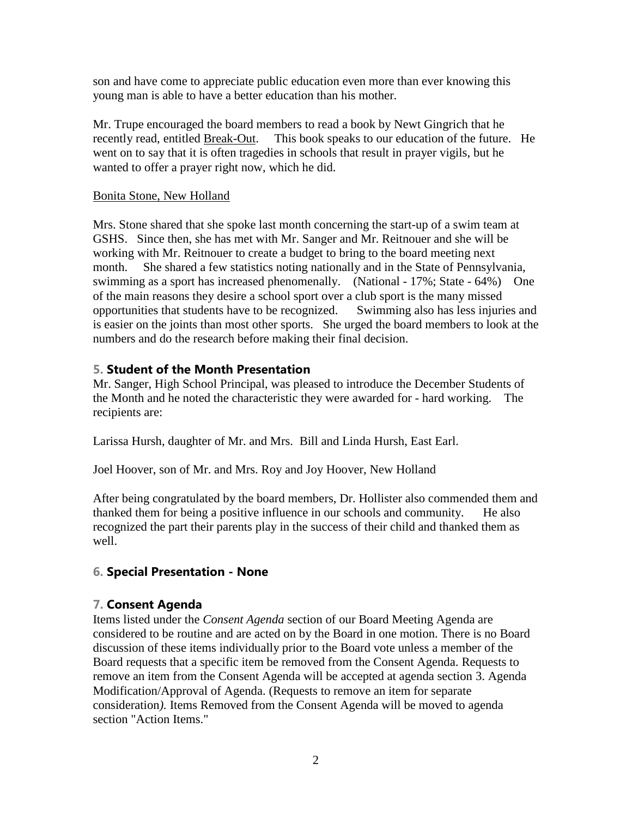son and have come to appreciate public education even more than ever knowing this young man is able to have a better education than his mother.

Mr. Trupe encouraged the board members to read a book by Newt Gingrich that he recently read, entitled Break-Out. This book speaks to our education of the future. He went on to say that it is often tragedies in schools that result in prayer vigils, but he wanted to offer a prayer right now, which he did.

#### Bonita Stone, New Holland

Mrs. Stone shared that she spoke last month concerning the start-up of a swim team at GSHS. Since then, she has met with Mr. Sanger and Mr. Reitnouer and she will be working with Mr. Reitnouer to create a budget to bring to the board meeting next month. She shared a few statistics noting nationally and in the State of Pennsylvania, swimming as a sport has increased phenomenally. (National - 17%; State - 64%) One of the main reasons they desire a school sport over a club sport is the many missed opportunities that students have to be recognized. Swimming also has less injuries and is easier on the joints than most other sports. She urged the board members to look at the numbers and do the research before making their final decision.

#### **5. Student of the Month Presentation**

Mr. Sanger, High School Principal, was pleased to introduce the December Students of the Month and he noted the characteristic they were awarded for - hard working. The recipients are:

Larissa Hursh, daughter of Mr. and Mrs. Bill and Linda Hursh, East Earl.

Joel Hoover, son of Mr. and Mrs. Roy and Joy Hoover, New Holland

After being congratulated by the board members, Dr. Hollister also commended them and thanked them for being a positive influence in our schools and community. He also recognized the part their parents play in the success of their child and thanked them as well.

#### **6. Special Presentation - None**

#### **7. Consent Agenda**

Items listed under the *Consent Agenda* section of our Board Meeting Agenda are considered to be routine and are acted on by the Board in one motion. There is no Board discussion of these items individually prior to the Board vote unless a member of the Board requests that a specific item be removed from the Consent Agenda. Requests to remove an item from the Consent Agenda will be accepted at agenda section 3. Agenda Modification/Approval of Agenda. (Requests to remove an item for separate consideration*).* Items Removed from the Consent Agenda will be moved to agenda section "Action Items."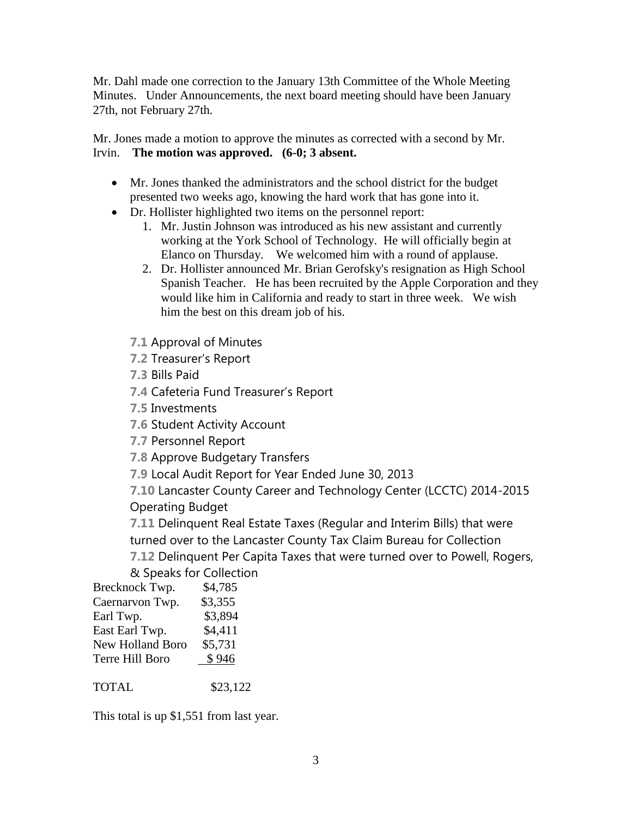Mr. Dahl made one correction to the January 13th Committee of the Whole Meeting Minutes. Under Announcements, the next board meeting should have been January 27th, not February 27th.

Mr. Jones made a motion to approve the minutes as corrected with a second by Mr. Irvin. **The motion was approved. (6-0; 3 absent.** 

- Mr. Jones thanked the administrators and the school district for the budget presented two weeks ago, knowing the hard work that has gone into it.
- Dr. Hollister highlighted two items on the personnel report:
	- 1. Mr. Justin Johnson was introduced as his new assistant and currently working at the York School of Technology. He will officially begin at Elanco on Thursday. We welcomed him with a round of applause.
	- 2. Dr. Hollister announced Mr. Brian Gerofsky's resignation as High School Spanish Teacher. He has been recruited by the Apple Corporation and they would like him in California and ready to start in three week. We wish him the best on this dream job of his.
	- **7.1** Approval of Minutes
	- **7.2** Treasurer's Report
	- **7.3** Bills Paid
	- **7.4** Cafeteria Fund Treasurer's Report
	- **7.5** Investments
	- **7.6** Student Activity Account
	- **7.7** Personnel Report
	- **7.8** Approve Budgetary Transfers
	- **7.9** Local Audit Report for Year Ended June 30, 2013

**7.10** Lancaster County Career and Technology Center (LCCTC) 2014-2015 Operating Budget

**7.11** Delinquent Real Estate Taxes (Regular and Interim Bills) that were turned over to the Lancaster County Tax Claim Bureau for Collection **7.12** Delinquent Per Capita Taxes that were turned over to Powell, Rogers,

& Speaks for Collection

| Brecknock Twp.   | \$4,785 |
|------------------|---------|
| Caernarvon Twp.  | \$3,355 |
| Earl Twp.        | \$3,894 |
| East Earl Twp.   | \$4,411 |
| New Holland Boro | \$5,731 |
| Terre Hill Boro  | \$946   |

TOTAL \$23,122

This total is up \$1,551 from last year.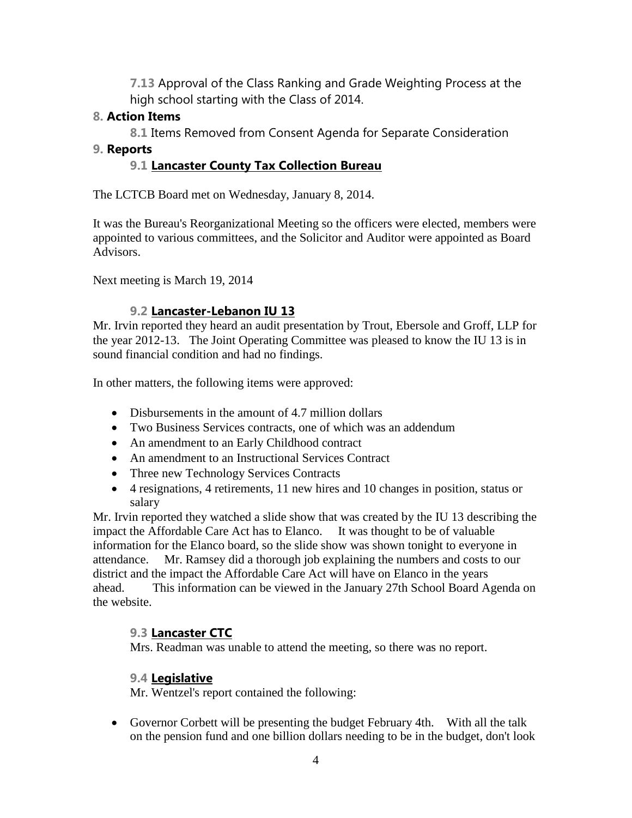**7.13** Approval of the Class Ranking and Grade Weighting Process at the high school starting with the Class of 2014.

## **8. Action Items**

**8.1** Items Removed from Consent Agenda for Separate Consideration

### **9. Reports**

## **9.1 Lancaster County Tax Collection Bureau**

The LCTCB Board met on Wednesday, January 8, 2014.

It was the Bureau's Reorganizational Meeting so the officers were elected, members were appointed to various committees, and the Solicitor and Auditor were appointed as Board Advisors.

Next meeting is March 19, 2014

## **9.2 Lancaster-Lebanon IU 13**

Mr. Irvin reported they heard an audit presentation by Trout, Ebersole and Groff, LLP for the year 2012-13. The Joint Operating Committee was pleased to know the IU 13 is in sound financial condition and had no findings.

In other matters, the following items were approved:

- Disbursements in the amount of 4.7 million dollars
- Two Business Services contracts, one of which was an addendum
- An amendment to an Early Childhood contract
- An amendment to an Instructional Services Contract
- Three new Technology Services Contracts
- 4 resignations, 4 retirements, 11 new hires and 10 changes in position, status or salary

Mr. Irvin reported they watched a slide show that was created by the IU 13 describing the impact the Affordable Care Act has to Elanco. It was thought to be of valuable information for the Elanco board, so the slide show was shown tonight to everyone in attendance. Mr. Ramsey did a thorough job explaining the numbers and costs to our district and the impact the Affordable Care Act will have on Elanco in the years ahead. This information can be viewed in the January 27th School Board Agenda on the website.

# **9.3 Lancaster CTC**

Mrs. Readman was unable to attend the meeting, so there was no report.

## **9.4 Legislative**

Mr. Wentzel's report contained the following:

 Governor Corbett will be presenting the budget February 4th. With all the talk on the pension fund and one billion dollars needing to be in the budget, don't look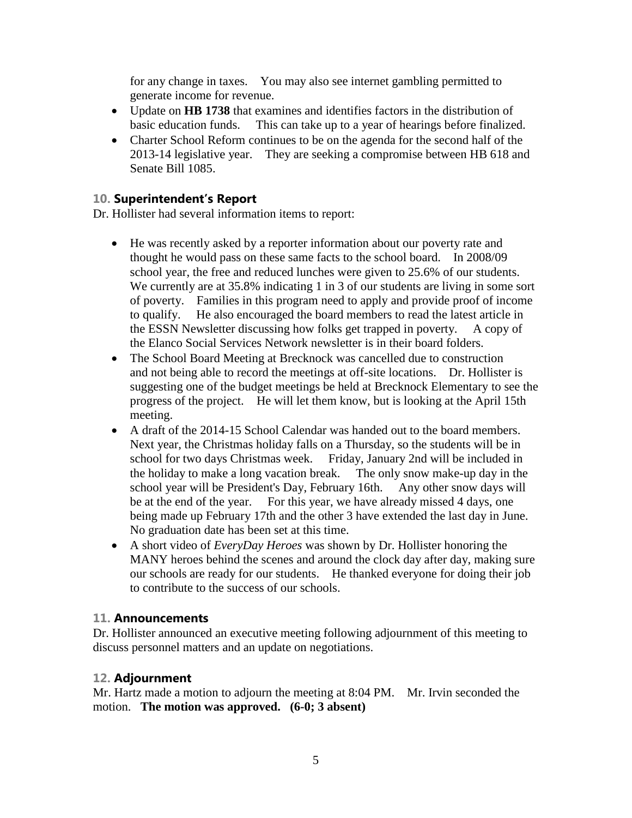for any change in taxes. You may also see internet gambling permitted to generate income for revenue.

- Update on **HB 1738** that examines and identifies factors in the distribution of basic education funds. This can take up to a year of hearings before finalized.
- Charter School Reform continues to be on the agenda for the second half of the 2013-14 legislative year. They are seeking a compromise between HB 618 and Senate Bill 1085.

## **10. Superintendent's Report**

Dr. Hollister had several information items to report:

- He was recently asked by a reporter information about our poverty rate and thought he would pass on these same facts to the school board. In 2008/09 school year, the free and reduced lunches were given to 25.6% of our students. We currently are at 35.8% indicating 1 in 3 of our students are living in some sort of poverty. Families in this program need to apply and provide proof of income to qualify. He also encouraged the board members to read the latest article in the ESSN Newsletter discussing how folks get trapped in poverty. A copy of the Elanco Social Services Network newsletter is in their board folders.
- The School Board Meeting at Brecknock was cancelled due to construction and not being able to record the meetings at off-site locations. Dr. Hollister is suggesting one of the budget meetings be held at Brecknock Elementary to see the progress of the project. He will let them know, but is looking at the April 15th meeting.
- A draft of the 2014-15 School Calendar was handed out to the board members. Next year, the Christmas holiday falls on a Thursday, so the students will be in school for two days Christmas week. Friday, January 2nd will be included in the holiday to make a long vacation break. The only snow make-up day in the school year will be President's Day, February 16th. Any other snow days will be at the end of the year. For this year, we have already missed 4 days, one being made up February 17th and the other 3 have extended the last day in June. No graduation date has been set at this time.
- A short video of *EveryDay Heroes* was shown by Dr. Hollister honoring the MANY heroes behind the scenes and around the clock day after day, making sure our schools are ready for our students. He thanked everyone for doing their job to contribute to the success of our schools.

#### **11. Announcements**

Dr. Hollister announced an executive meeting following adjournment of this meeting to discuss personnel matters and an update on negotiations.

#### **12. Adjournment**

Mr. Hartz made a motion to adjourn the meeting at 8:04 PM. Mr. Irvin seconded the motion. **The motion was approved. (6-0; 3 absent)**